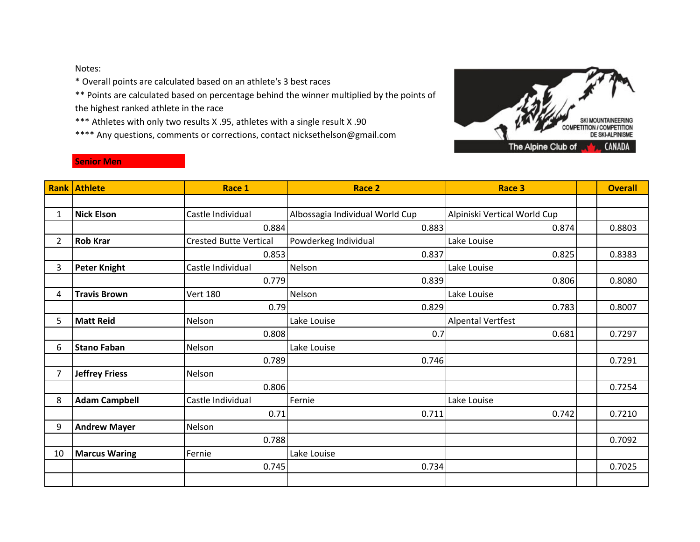Notes:

\* Overall points are calculated based on an athlete's 3 best races

\*\* Points are calculated based on percentage behind the winner multiplied by the points of the highest ranked athlete in the race

\*\*\* Athletes with only two results X .95, athletes with a single result X .90

\*\*\*\* Any questions, comments or corrections, contact nicksethelson@gmail.com



## **Senior Men**

|              | <b>Rank Athlete</b>   | Race 1                        | Race 2                          | Race 3                       | <b>Overall</b> |
|--------------|-----------------------|-------------------------------|---------------------------------|------------------------------|----------------|
|              |                       |                               |                                 |                              |                |
| 1            | <b>Nick Elson</b>     | Castle Individual             | Albossagia Individual World Cup | Alpiniski Vertical World Cup |                |
|              |                       | 0.884                         | 0.883                           | 0.874                        | 0.8803         |
| $\mathbf{2}$ | <b>Rob Krar</b>       | <b>Crested Butte Vertical</b> | Powderkeg Individual            | Lake Louise                  |                |
|              |                       | 0.853                         | 0.837                           | 0.825                        | 0.8383         |
| 3            | <b>Peter Knight</b>   | Castle Individual             | Nelson                          | Lake Louise                  |                |
|              |                       | 0.779                         | 0.839                           | 0.806                        | 0.8080         |
| 4            | <b>Travis Brown</b>   | <b>Vert 180</b>               | Nelson                          | Lake Louise                  |                |
|              |                       | 0.79                          | 0.829                           | 0.783                        | 0.8007         |
| 5            | <b>Matt Reid</b>      | Nelson                        | Lake Louise                     | <b>Alpental Vertfest</b>     |                |
|              |                       | 0.808                         | 0.7                             | 0.681                        | 0.7297         |
| 6            | <b>Stano Faban</b>    | Nelson                        | Lake Louise                     |                              |                |
|              |                       | 0.789                         | 0.746                           |                              | 0.7291         |
| 7            | <b>Jeffrey Friess</b> | Nelson                        |                                 |                              |                |
|              |                       | 0.806                         |                                 |                              | 0.7254         |
| 8            | <b>Adam Campbell</b>  | Castle Individual             | Fernie                          | Lake Louise                  |                |
|              |                       | 0.71                          | 0.711                           | 0.742                        | 0.7210         |
| 9            | <b>Andrew Mayer</b>   | Nelson                        |                                 |                              |                |
|              |                       | 0.788                         |                                 |                              | 0.7092         |
| 10           | <b>Marcus Waring</b>  | Fernie                        | Lake Louise                     |                              |                |
|              |                       | 0.745                         | 0.734                           |                              | 0.7025         |
|              |                       |                               |                                 |                              |                |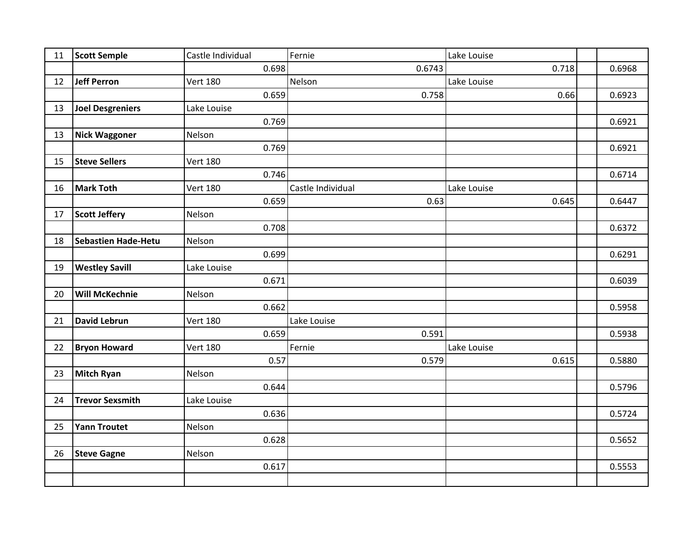| 11 | <b>Scott Semple</b>        | Castle Individual | Fernie            | Lake Louise |        |
|----|----------------------------|-------------------|-------------------|-------------|--------|
|    |                            | 0.698             | 0.6743            | 0.718       | 0.6968 |
| 12 | <b>Jeff Perron</b>         | <b>Vert 180</b>   | Nelson            | Lake Louise |        |
|    |                            | 0.659             | 0.758             | 0.66        | 0.6923 |
| 13 | <b>Joel Desgreniers</b>    | Lake Louise       |                   |             |        |
|    |                            | 0.769             |                   |             | 0.6921 |
| 13 | <b>Nick Waggoner</b>       | Nelson            |                   |             |        |
|    |                            | 0.769             |                   |             | 0.6921 |
| 15 | <b>Steve Sellers</b>       | <b>Vert 180</b>   |                   |             |        |
|    |                            | 0.746             |                   |             | 0.6714 |
| 16 | <b>Mark Toth</b>           | <b>Vert 180</b>   | Castle Individual | Lake Louise |        |
|    |                            | 0.659             | 0.63              | 0.645       | 0.6447 |
| 17 | <b>Scott Jeffery</b>       | Nelson            |                   |             |        |
|    |                            | 0.708             |                   |             | 0.6372 |
| 18 | <b>Sebastien Hade-Hetu</b> | Nelson            |                   |             |        |
|    |                            | 0.699             |                   |             | 0.6291 |
| 19 | <b>Westley Savill</b>      | Lake Louise       |                   |             |        |
|    |                            | 0.671             |                   |             | 0.6039 |
| 20 | <b>Will McKechnie</b>      | Nelson            |                   |             |        |
|    |                            | 0.662             |                   |             | 0.5958 |
| 21 | <b>David Lebrun</b>        | <b>Vert 180</b>   | Lake Louise       |             |        |
|    |                            | 0.659             | 0.591             |             | 0.5938 |
| 22 | <b>Bryon Howard</b>        | <b>Vert 180</b>   | Fernie            | Lake Louise |        |
|    |                            | 0.57              | 0.579             | 0.615       | 0.5880 |
| 23 | <b>Mitch Ryan</b>          | Nelson            |                   |             |        |
|    |                            | 0.644             |                   |             | 0.5796 |
| 24 | <b>Trevor Sexsmith</b>     | Lake Louise       |                   |             |        |
|    |                            | 0.636             |                   |             | 0.5724 |
| 25 | <b>Yann Troutet</b>        | Nelson            |                   |             |        |
|    |                            | 0.628             |                   |             | 0.5652 |
| 26 | <b>Steve Gagne</b>         | Nelson            |                   |             |        |
|    |                            | 0.617             |                   |             | 0.5553 |
|    |                            |                   |                   |             |        |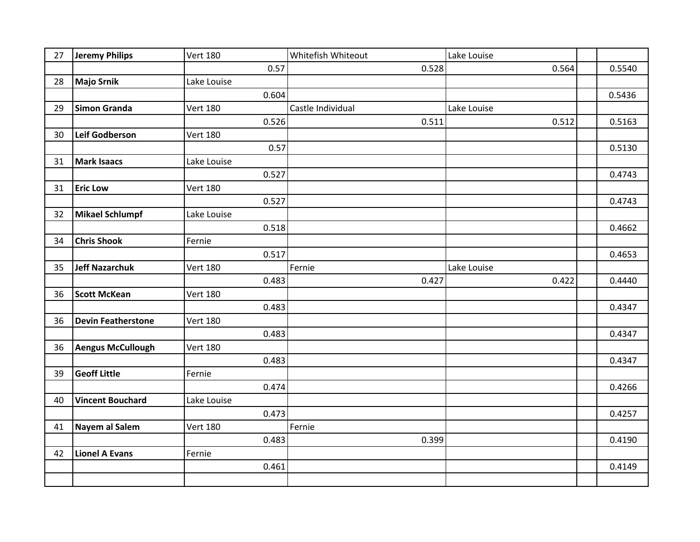| 27 | <b>Jeremy Philips</b>     | <b>Vert 180</b> | Whitefish Whiteout | Lake Louise |        |
|----|---------------------------|-----------------|--------------------|-------------|--------|
|    |                           | 0.57            | 0.528              | 0.564       | 0.5540 |
| 28 | <b>Majo Srnik</b>         | Lake Louise     |                    |             |        |
|    |                           | 0.604           |                    |             | 0.5436 |
| 29 | Simon Granda              | <b>Vert 180</b> | Castle Individual  | Lake Louise |        |
|    |                           | 0.526           | 0.511              | 0.512       | 0.5163 |
| 30 | <b>Leif Godberson</b>     | <b>Vert 180</b> |                    |             |        |
|    |                           | 0.57            |                    |             | 0.5130 |
| 31 | <b>Mark Isaacs</b>        | Lake Louise     |                    |             |        |
|    |                           | 0.527           |                    |             | 0.4743 |
| 31 | <b>Eric Low</b>           | <b>Vert 180</b> |                    |             |        |
|    |                           | 0.527           |                    |             | 0.4743 |
| 32 | <b>Mikael Schlumpf</b>    | Lake Louise     |                    |             |        |
|    |                           | 0.518           |                    |             | 0.4662 |
| 34 | <b>Chris Shook</b>        | Fernie          |                    |             |        |
|    |                           | 0.517           |                    |             | 0.4653 |
| 35 | <b>Jeff Nazarchuk</b>     | <b>Vert 180</b> | Fernie             | Lake Louise |        |
|    |                           | 0.483           | 0.427              | 0.422       | 0.4440 |
| 36 | <b>Scott McKean</b>       | <b>Vert 180</b> |                    |             |        |
|    |                           | 0.483           |                    |             | 0.4347 |
| 36 | <b>Devin Featherstone</b> | <b>Vert 180</b> |                    |             |        |
|    |                           | 0.483           |                    |             | 0.4347 |
| 36 | <b>Aengus McCullough</b>  | <b>Vert 180</b> |                    |             |        |
|    |                           | 0.483           |                    |             | 0.4347 |
| 39 | <b>Geoff Little</b>       | Fernie          |                    |             |        |
|    |                           | 0.474           |                    |             | 0.4266 |
| 40 | <b>Vincent Bouchard</b>   | Lake Louise     |                    |             |        |
|    |                           | 0.473           |                    |             | 0.4257 |
| 41 | Nayem al Salem            | <b>Vert 180</b> | Fernie             |             |        |
|    |                           | 0.483           | 0.399              |             | 0.4190 |
| 42 | <b>Lionel A Evans</b>     | Fernie          |                    |             |        |
|    |                           | 0.461           |                    |             | 0.4149 |
|    |                           |                 |                    |             |        |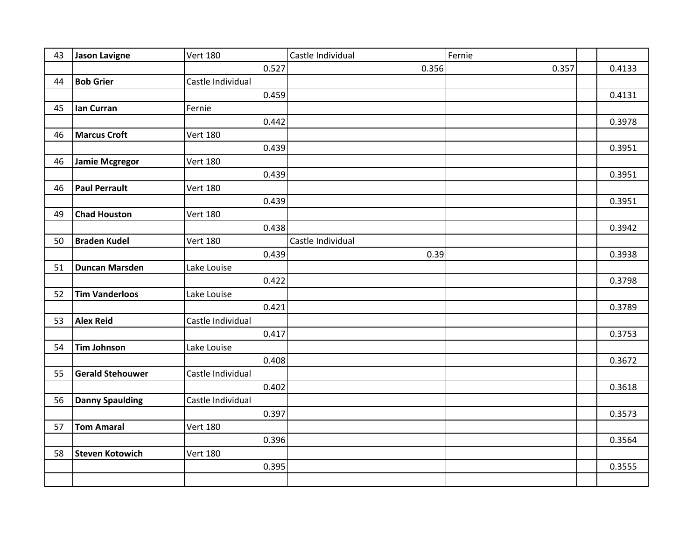| 43 | <b>Jason Lavigne</b>    | <b>Vert 180</b>   | Castle Individual | Fernie |        |
|----|-------------------------|-------------------|-------------------|--------|--------|
|    |                         | 0.527             | 0.356             | 0.357  | 0.4133 |
| 44 | <b>Bob Grier</b>        | Castle Individual |                   |        |        |
|    |                         | 0.459             |                   |        | 0.4131 |
| 45 | lan Curran              | Fernie            |                   |        |        |
|    |                         | 0.442             |                   |        | 0.3978 |
| 46 | <b>Marcus Croft</b>     | <b>Vert 180</b>   |                   |        |        |
|    |                         | 0.439             |                   |        | 0.3951 |
| 46 | <b>Jamie Mcgregor</b>   | <b>Vert 180</b>   |                   |        |        |
|    |                         | 0.439             |                   |        | 0.3951 |
| 46 | <b>Paul Perrault</b>    | <b>Vert 180</b>   |                   |        |        |
|    |                         | 0.439             |                   |        | 0.3951 |
| 49 | <b>Chad Houston</b>     | <b>Vert 180</b>   |                   |        |        |
|    |                         | 0.438             |                   |        | 0.3942 |
| 50 | <b>Braden Kudel</b>     | <b>Vert 180</b>   | Castle Individual |        |        |
|    |                         | 0.439             | 0.39              |        | 0.3938 |
| 51 | <b>Duncan Marsden</b>   | Lake Louise       |                   |        |        |
|    |                         | 0.422             |                   |        | 0.3798 |
| 52 | <b>Tim Vanderloos</b>   | Lake Louise       |                   |        |        |
|    |                         | 0.421             |                   |        | 0.3789 |
| 53 | <b>Alex Reid</b>        | Castle Individual |                   |        |        |
|    |                         | 0.417             |                   |        | 0.3753 |
| 54 | <b>Tim Johnson</b>      | Lake Louise       |                   |        |        |
|    |                         | 0.408             |                   |        | 0.3672 |
| 55 | <b>Gerald Stehouwer</b> | Castle Individual |                   |        |        |
|    |                         | 0.402             |                   |        | 0.3618 |
| 56 | <b>Danny Spaulding</b>  | Castle Individual |                   |        |        |
|    |                         | 0.397             |                   |        | 0.3573 |
| 57 | <b>Tom Amaral</b>       | <b>Vert 180</b>   |                   |        |        |
|    |                         | 0.396             |                   |        | 0.3564 |
| 58 | <b>Steven Kotowich</b>  | <b>Vert 180</b>   |                   |        |        |
|    |                         | 0.395             |                   |        | 0.3555 |
|    |                         |                   |                   |        |        |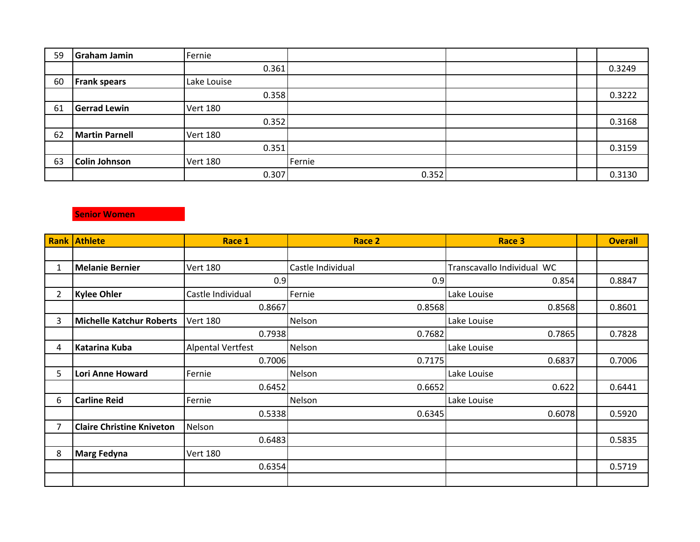| 59 | <b>Graham Jamin</b>   | Fernie          |        |  |        |
|----|-----------------------|-----------------|--------|--|--------|
|    |                       | 0.361           |        |  | 0.3249 |
| 60 | <b>Frank spears</b>   | Lake Louise     |        |  |        |
|    |                       | 0.358           |        |  | 0.3222 |
| 61 | <b>Gerrad Lewin</b>   | <b>Vert 180</b> |        |  |        |
|    |                       | 0.352           |        |  | 0.3168 |
| 62 | <b>Martin Parnell</b> | <b>Vert 180</b> |        |  |        |
|    |                       | 0.351           |        |  | 0.3159 |
| 63 | Colin Johnson         | <b>Vert 180</b> | Fernie |  |        |
|    |                       | 0.307           | 0.352  |  | 0.3130 |

## **Senior Women**

| <b>Rank</b> | <b>Athlete</b>                   | Race 1                   | Race 2            | Race 3                     | <b>Overall</b> |
|-------------|----------------------------------|--------------------------|-------------------|----------------------------|----------------|
|             |                                  |                          |                   |                            |                |
| 1           | <b>Melanie Bernier</b>           | <b>Vert 180</b>          | Castle Individual | Transcavallo Individual WC |                |
|             |                                  | 0.9                      | 0.9               | 0.854                      | 0.8847         |
| 2           | <b>Kylee Ohler</b>               | Castle Individual        | Fernie            | Lake Louise                |                |
|             |                                  | 0.8667                   | 0.8568            | 0.8568                     | 0.8601         |
| 3           | <b>Michelle Katchur Roberts</b>  | <b>Vert 180</b>          | Nelson            | Lake Louise                |                |
|             |                                  | 0.7938                   | 0.7682            | 0.7865                     | 0.7828         |
| 4           | <b>Katarina Kuba</b>             | <b>Alpental Vertfest</b> | Nelson            | Lake Louise                |                |
|             |                                  | 0.7006                   | 0.7175            | 0.6837                     | 0.7006         |
| 5.          | Lori Anne Howard                 | Fernie                   | Nelson            | Lake Louise                |                |
|             |                                  | 0.6452                   | 0.6652            | 0.622                      | 0.6441         |
| 6           | <b>Carline Reid</b>              | Fernie                   | Nelson            | Lake Louise                |                |
|             |                                  | 0.5338                   | 0.6345            | 0.6078                     | 0.5920         |
|             | <b>Claire Christine Kniveton</b> | Nelson                   |                   |                            |                |
|             |                                  | 0.6483                   |                   |                            | 0.5835         |
| 8           | <b>Marg Fedyna</b>               | <b>Vert 180</b>          |                   |                            |                |
|             |                                  | 0.6354                   |                   |                            | 0.5719         |
|             |                                  |                          |                   |                            |                |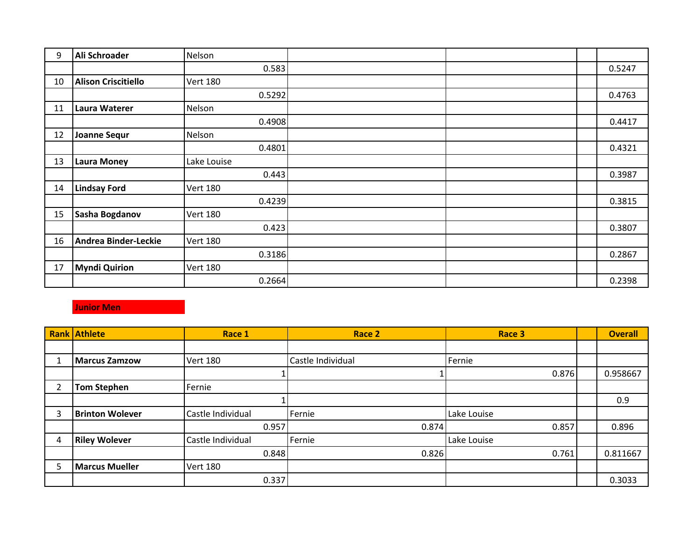| 9  | Ali Schroader               | Nelson          |  |        |
|----|-----------------------------|-----------------|--|--------|
|    |                             | 0.583           |  | 0.5247 |
| 10 | <b>Alison Criscitiello</b>  | <b>Vert 180</b> |  |        |
|    |                             | 0.5292          |  | 0.4763 |
| 11 | <b>Laura Waterer</b>        | Nelson          |  |        |
|    |                             | 0.4908          |  | 0.4417 |
| 12 | <b>Joanne Sequr</b>         | Nelson          |  |        |
|    |                             | 0.4801          |  | 0.4321 |
| 13 | <b>Laura Money</b>          | Lake Louise     |  |        |
|    |                             | 0.443           |  | 0.3987 |
| 14 | <b>Lindsay Ford</b>         | <b>Vert 180</b> |  |        |
|    |                             | 0.4239          |  | 0.3815 |
| 15 | Sasha Bogdanov              | <b>Vert 180</b> |  |        |
|    |                             | 0.423           |  | 0.3807 |
| 16 | <b>Andrea Binder-Leckie</b> | <b>Vert 180</b> |  |        |
|    |                             | 0.3186          |  | 0.2867 |
| 17 | <b>Myndi Quirion</b>        | <b>Vert 180</b> |  |        |
|    |                             | 0.2664          |  | 0.2398 |

## **Junior Men**

|   | <b>Rank Athlete</b>    | Race 1            | Race 2            | Race 3      | <b>Overall</b> |
|---|------------------------|-------------------|-------------------|-------------|----------------|
|   |                        |                   |                   |             |                |
|   | <b>Marcus Zamzow</b>   | <b>Vert 180</b>   | Castle Individual | Fernie      |                |
|   |                        |                   |                   | 0.876       | 0.958667       |
| າ | <b>Tom Stephen</b>     | Fernie            |                   |             |                |
|   |                        |                   |                   |             | 0.9            |
| 3 | <b>Brinton Wolever</b> | Castle Individual | Fernie            | Lake Louise |                |
|   |                        | 0.957             | 0.874             | 0.857       | 0.896          |
| 4 | <b>Riley Wolever</b>   | Castle Individual | Fernie            | Lake Louise |                |
|   |                        | 0.848             | 0.826             | 0.761       | 0.811667       |
| 5 | <b>Marcus Mueller</b>  | <b>Vert 180</b>   |                   |             |                |
|   |                        | 0.337             |                   |             | 0.3033         |